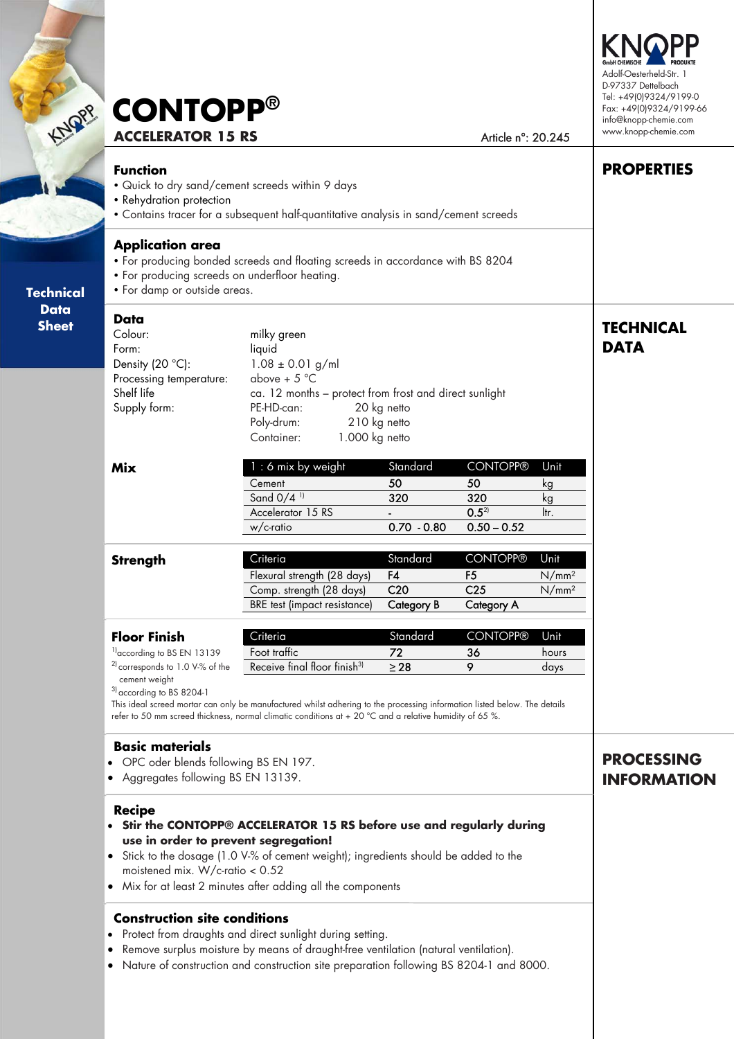| KNOPP                       | <b>CONTOPP®</b><br><b>ACCELERATOR 15 RS</b>                                                                                                                                                                                                                                                                                                                                                                                                                                                                                                                                                                        | Adolf-Oesterheld-Str. 1<br>D-97337 Dettelbach<br>Tel: +49(0)9324/9199-0<br>Fax: +49(0)9324/9199-66<br>info@knopp-chemie.com<br>www.knopp-chemie.com                                                                                                                                                          |                                                        |                                                                    |                                                |                   |
|-----------------------------|--------------------------------------------------------------------------------------------------------------------------------------------------------------------------------------------------------------------------------------------------------------------------------------------------------------------------------------------------------------------------------------------------------------------------------------------------------------------------------------------------------------------------------------------------------------------------------------------------------------------|--------------------------------------------------------------------------------------------------------------------------------------------------------------------------------------------------------------------------------------------------------------------------------------------------------------|--------------------------------------------------------|--------------------------------------------------------------------|------------------------------------------------|-------------------|
|                             | <b>Function</b><br>. Quick to dry sand/cement screeds within 9 days<br>• Rehydration protection                                                                                                                                                                                                                                                                                                                                                                                                                                                                                                                    | • Contains tracer for a subsequent half-quantitative analysis in sand/cement screeds                                                                                                                                                                                                                         |                                                        |                                                                    |                                                | <b>PROPERTIES</b> |
| <b>Technical</b>            | <b>Application area</b><br>• For producing screeds on underfloor heating.<br>• For damp or outside areas.                                                                                                                                                                                                                                                                                                                                                                                                                                                                                                          | • For producing bonded screeds and floating screeds in accordance with BS 8204                                                                                                                                                                                                                               |                                                        |                                                                    |                                                |                   |
| <b>Data</b><br><b>Sheet</b> | Data<br>Colour:<br>Form:<br>Density $(20 °C)$ :<br>Processing temperature:<br>Shelf life<br>Supply form:                                                                                                                                                                                                                                                                                                                                                                                                                                                                                                           | milky green<br>liquid<br>$1.08 \pm 0.01$ g/ml<br>above + $5^{\circ}$ C<br>ca. 12 months - protect from frost and direct sunlight<br>PE-HD-can:<br>20 kg netto<br>210 kg netto<br>Poly-drum:<br>1.000 kg netto<br>Container:                                                                                  | <b>TECHNICAL</b><br><b>DATA</b>                        |                                                                    |                                                |                   |
|                             | <b>Mix</b>                                                                                                                                                                                                                                                                                                                                                                                                                                                                                                                                                                                                         | : 6 mix by weight<br>Cement<br>Sand 0/4 <sup>11</sup><br>Accelerator 15 RS<br>w/c-ratio                                                                                                                                                                                                                      | Standard<br>50<br>320<br>$0.70 - 0.80$                 | <b>CONTOPP®</b><br>50<br>320<br>$0.5^{2}$<br>$0.50 - 0.52$         | Unit<br>kg<br>kg<br>ltr.                       |                   |
|                             | <b>Strength</b>                                                                                                                                                                                                                                                                                                                                                                                                                                                                                                                                                                                                    | Criteria<br>Flexural strength (28 days)<br>Comp. strength (28 days)<br>BRE test (impact resistance)                                                                                                                                                                                                          | Standard<br>F4<br>C <sub>20</sub><br><b>Category B</b> | <b>CONTOPP®</b><br>F <sub>5</sub><br>C <sub>25</sub><br>Category A | Unit<br>N/mm <sup>2</sup><br>N/mm <sup>2</sup> |                   |
|                             | <b>Floor Finish</b><br><sup>1)</sup> according to BS EN 13139<br><sup>2)</sup> corresponds to 1.0 V-% of the<br>cement weight<br><sup>3)</sup> according to BS 8204-1                                                                                                                                                                                                                                                                                                                                                                                                                                              | Criteria<br>Foot traffic<br>Receive final floor finish <sup>3)</sup><br>This ideal screed mortar can only be manufactured whilst adhering to the processing information listed below. The details<br>refer to 50 mm screed thickness, normal climatic conditions at + 20 °C and a relative humidity of 65 %. | Standard<br>72<br>$\geq$ 28                            | <b>CONTOPP®</b><br>36<br>9                                         | Unit<br>hours<br>days                          |                   |
|                             | <b>Basic materials</b><br>• OPC oder blends following BS EN 197.<br>• Aggregates following BS EN 13139.                                                                                                                                                                                                                                                                                                                                                                                                                                                                                                            | <b>PROCESSING</b><br><b>INFORMATION</b>                                                                                                                                                                                                                                                                      |                                                        |                                                                    |                                                |                   |
|                             | <b>Recipe</b><br>• Stir the CONTOPP® ACCELERATOR 15 RS before use and regularly during<br>use in order to prevent segregation!<br>• Stick to the dosage (1.0 V-% of cement weight); ingredients should be added to the<br>moistened mix. W/c-ratio $< 0.52$<br>• Mix for at least 2 minutes after adding all the components<br><b>Construction site conditions</b><br>Protect from draughts and direct sunlight during setting.<br>Remove surplus moisture by means of draught-free ventilation (natural ventilation).<br>• Nature of construction and construction site preparation following BS 8204-1 and 8000. |                                                                                                                                                                                                                                                                                                              |                                                        |                                                                    |                                                |                   |

 $\prec$